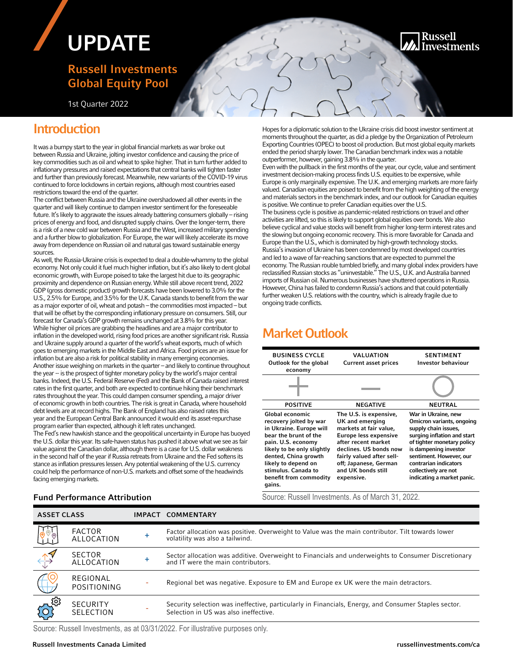# UPDATE

## Russell Investments Global Equity Pool

1st Quarter 2022

## Introduction

It was a bumpy start to the year in global financial markets as war broke out between Russia and Ukraine, jolting investor confidence and causing the price of key commodities such as oil and wheat to spike higher. That in turn further added to inflationary pressures and raised expectations that central banks will tighten faster and further than previously forecast. Meanwhile, new variants of the COVID-19 virus continued to force lockdowns in certain regions, although most countries eased restrictions toward the end of the quarter.

The conflict between Russia and the Ukraine overshadowed all other events in the quarter and will likely continue to dampen investor sentiment for the foreseeable future. It's likely to aggravate the issues already battering consumers globally – rising prices of energy and food, and disrupted supply chains. Over the longer-term, there is a risk of a new cold war between Russia and the West, increased military spending and a further blow to globalization. For Europe, the war will likely accelerate its move away from dependence on Russian oil and natural gas toward sustainable energy sources.

As well, the Russia-Ukraine crisis is expected to deal a double-whammy to the global economy. Not only could it fuel much higher inflation, but it's also likely to dent global economic growth, with Europe poised to take the largest hit due to its geographic proximity and dependence on Russian energy. While still above recent trend, 2022 GDP (gross domestic product) growth forecasts have been lowered to 3.0% for the U.S., 2.5% for Europe, and 3.5% for the U.K. Canada stands to benefit from the war as a major exporter of oil, wheat and potash – the commodities most impacted – but that will be offset by the corresponding inflationary pressure on consumers. Still, our forecast for Canada's GDP growth remains unchanged at 3.8% for this year. While higher oil prices are grabbing the headlines and are a major contributor to inflation in the developed world, rising food prices are another significant risk. Russia and Ukraine supply around a quarter of the world's wheat exports, much of which goes to emerging markets in the Middle East and Africa. Food prices are an issue for inflation but are also a risk for political stability in many emerging economies. Another issue weighing on markets in the quarter – and likely to continue throughout the year -- is the prospect of tighter monetary policy by the world's major central banks. Indeed, the U.S. Federal Reserve (Fed) and the Bank of Canada raised interest rates in the first quarter, and both are expected to continue hiking their benchmark rates throughout the year. This could dampen consumer spending, a major driver of economic growth in both countries. The risk is great in Canada, where household debt levels are at record highs. The Bank of England has also raised rates this year and the European Central Bank announced it would end its asset-repurchase program earlier than expected, although it left rates unchanged.

The Fed's new hawkish stance and the geopolitical uncertainty in Europe has buoyed the U.S. dollar this year. Its safe-haven status has pushed it above what we see as fair value against the Canadian dollar, although there is a case for U.S. dollar weakness in the second half of the year if Russia retreats from Ukraine and the Fed softens its stance as inflation pressures lessen. Any potential weakening of the U.S. currency could help the performance of non-U.S. markets and offset some of the headwinds facing emerging markets.

Hopes for a diplomatic solution to the Ukraine crisis did boost investor sentiment at moments throughout the quarter, as did a pledge by the Organization of Petroleum Exporting Countries (OPEC) to boost oil production. But most global equity markets ended the period sharply lower. The Canadian benchmark index was a notable outperformer, however, gaining 3.8% in the quarter.

Even with the pullback in the first months of the year, our cycle, value and sentiment investment decision-making process finds U.S. equities to be expensive, while Europe is only marginally expensive. The U.K. and emerging markets are more fairly valued. Canadian equities are poised to benefit from the high weighting of the energy and materials sectors in the benchmark index, and our outlook for Canadian equities is positive. We continue to prefer Canadian equities over the U.S. The business cycle is positive as pandemic-related restrictions on travel and other activities are lifted, so this is likely to support global equities over bonds. We also believe cyclical and value stocks will benefit from higher long-term interest rates and the slowing but ongoing economic recovery. This is more favorable for Canada and Europe than the U.S., which is dominated by high-growth technology stocks. Russia's invasion of Ukraine has been condemned by most developed countries and led to a wave of far-reaching sanctions that are expected to pummel the economy. The Russian rouble tumbled briefly, and many global index providers have reclassified Russian stocks as "uninvestable." The U.S., U.K. and Australia banned imports of Russian oil. Numerous businesses have shuttered operations in Russia. However, China has failed to condemn Russia's actions and that could potentially further weaken U.S. relations with the country, which is already fragile due to ongoing trade conflicts.

# Market Outlook

| <b>BUSINESS CYCLE</b><br>Outlook for the global<br>economy                                                                                                                                                                                                  | VALUATION<br><b>Current asset prices</b>                                                                                                                                                                                                       | <b>SENTIMENT</b><br>Investor behaviour                                                                                                                                                                                                                                   |
|-------------------------------------------------------------------------------------------------------------------------------------------------------------------------------------------------------------------------------------------------------------|------------------------------------------------------------------------------------------------------------------------------------------------------------------------------------------------------------------------------------------------|--------------------------------------------------------------------------------------------------------------------------------------------------------------------------------------------------------------------------------------------------------------------------|
|                                                                                                                                                                                                                                                             |                                                                                                                                                                                                                                                |                                                                                                                                                                                                                                                                          |
| <b>POSITIVE</b>                                                                                                                                                                                                                                             | <b>NEGATIVE</b>                                                                                                                                                                                                                                | <b>NEUTRAL</b>                                                                                                                                                                                                                                                           |
| Global economic<br>recovery jolted by war<br>in Ukraine. Europe will<br>bear the brunt of the<br>pain. U.S. economy<br>likely to be only slightly<br>dented, China growth<br>likely to depend on<br>stimulus. Canada to<br>benefit from commodity<br>gains. | The U.S. is expensive,<br>UK and emerging<br>markets at fair value,<br><b>Europe less expensive</b><br>after recent market<br>declines. US bonds now<br>fairly valued after sell-<br>off; Japanese, German<br>and UK bonds still<br>expensive. | War in Ukraine, new<br>Omicron variants, ongoing<br>supply chain issues,<br>surging inflation and start<br>of tighter monetary policy<br>is dampening investor<br>sentiment. However, our<br>contrarian indicators<br>collectively are not<br>indicating a market panic. |

**Fund Performance Attribution** Source: Russell Investments. As of March 31, 2022.

| <b>ASSET CLASS</b>                                                                                                                                                                                                                                                                                                                           |                                    |           | IMPACT COMMENTARY                                                                                                                             |
|----------------------------------------------------------------------------------------------------------------------------------------------------------------------------------------------------------------------------------------------------------------------------------------------------------------------------------------------|------------------------------------|-----------|-----------------------------------------------------------------------------------------------------------------------------------------------|
| $\begin{picture}(120,15) \put(0,0){\line(1,0){155}} \put(15,0){\line(1,0){155}} \put(15,0){\line(1,0){155}} \put(15,0){\line(1,0){155}} \put(15,0){\line(1,0){155}} \put(15,0){\line(1,0){155}} \put(15,0){\line(1,0){155}} \put(15,0){\line(1,0){155}} \put(15,0){\line(1,0){155}} \put(15,0){\line(1,0){155}} \put(15,0){\line(1,0){155}}$ | <b>FACTOR</b><br><b>ALLOCATION</b> | $\ddot{}$ | Factor allocation was positive. Overweight to Value was the main contributor. Tilt towards lower<br>volatility was also a tailwind.           |
| $\leftrightarrow$                                                                                                                                                                                                                                                                                                                            | <b>SECTOR</b><br>ALLOCATION        | $\pm$     | Sector allocation was additive. Overweight to Financials and underweights to Consumer Discretionary<br>and IT were the main contributors.     |
|                                                                                                                                                                                                                                                                                                                                              | REGIONAL<br><b>POSITIONING</b>     |           | Regional bet was negative. Exposure to EM and Europe ex UK were the main detractors.                                                          |
| <b>101</b>                                                                                                                                                                                                                                                                                                                                   | SECURITY<br>SELECTION              |           | Security selection was ineffective, particularly in Financials, Energy, and Consumer Staples sector.<br>Selection in US was also ineffective. |

Source: Russell Investments, as at 03/31/2022. For illustrative purposes only.

Russell nvestments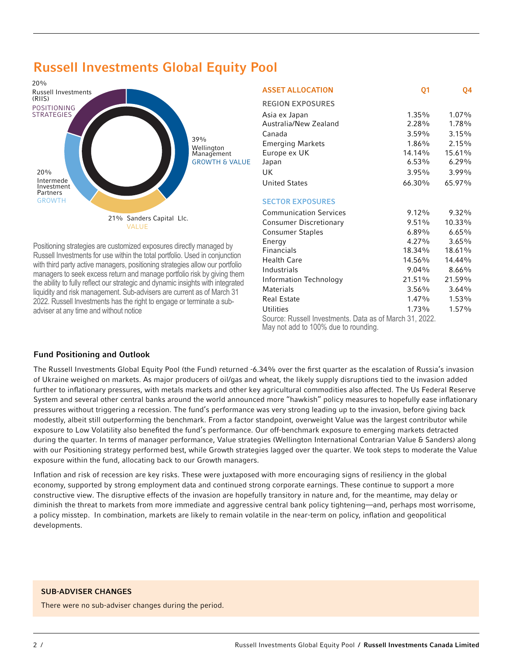

# Russell Investments Global Equity Pool

Positioning strategies are customized exposures directly managed by Russell Investments for use within the total portfolio. Used in conjunction with third party active managers, positioning strategies allow our portfolio managers to seek excess return and manage portfolio risk by giving them the ability to fully reflect our strategic and dynamic insights with integrated liquidity and risk management. Sub-advisers are current as of March 31 2022. Russell Investments has the right to engage or terminate a subadviser at any time and without notice

| <b>ASSET ALLOCATION</b>                                                                            | Q <sub>1</sub> | Q4       |  |  |  |
|----------------------------------------------------------------------------------------------------|----------------|----------|--|--|--|
| <b>REGION EXPOSURES</b>                                                                            |                |          |  |  |  |
| Asia ex Japan                                                                                      | 1.35%          | $1.07\%$ |  |  |  |
| Australia/New Zealand                                                                              | 2.28%          | 1.78%    |  |  |  |
| Canada                                                                                             | 3.59%          | 3.15%    |  |  |  |
| <b>Emerging Markets</b>                                                                            | 1.86%          | 2.15%    |  |  |  |
| Europe ex UK                                                                                       | 14.14%         | 15.61%   |  |  |  |
| Japan                                                                                              | $6.53\%$       | 6.29%    |  |  |  |
| UK                                                                                                 | 3.95%          | $3.99\%$ |  |  |  |
| <b>United States</b>                                                                               | 66.30%         | 65.97%   |  |  |  |
| <b>SECTOR EXPOSURES</b>                                                                            |                |          |  |  |  |
| <b>Communication Services</b>                                                                      | $9.12\%$       | $9.32\%$ |  |  |  |
| <b>Consumer Discretionary</b>                                                                      | $9.51\%$       | 10.33%   |  |  |  |
| <b>Consumer Staples</b>                                                                            | 6.89%          | 6.65%    |  |  |  |
| Energy                                                                                             | $4.27\%$       | $3.65\%$ |  |  |  |
| <b>Financials</b>                                                                                  | 18.34%         | 18.61%   |  |  |  |
| <b>Health Care</b>                                                                                 | 14.56%         | 14.44%   |  |  |  |
| Industrials                                                                                        | 9.04%          | 8.66%    |  |  |  |
| Information Technology                                                                             | 21.51%         | 21.59%   |  |  |  |
| Materials                                                                                          | 3.56%          | 3.64%    |  |  |  |
| <b>Real Estate</b>                                                                                 | $1.47\%$       | 1.53%    |  |  |  |
| Utilities                                                                                          | 1.73%          | $1.57\%$ |  |  |  |
| Source: Russell Investments. Data as of March 31, 2022.<br>Married add to 1000/ directs as well as |                |          |  |  |  |

May not add to 100% due to rounding.

#### Fund Positioning and Outlook

The Russell Investments Global Equity Pool (the Fund) returned -6.34% over the first quarter as the escalation of Russia's invasion of Ukraine weighed on markets. As major producers of oil/gas and wheat, the likely supply disruptions tied to the invasion added further to inflationary pressures, with metals markets and other key agricultural commodities also affected. The Us Federal Reserve System and several other central banks around the world announced more "hawkish" policy measures to hopefully ease inflationary pressures without triggering a recession. The fund's performance was very strong leading up to the invasion, before giving back modestly, albeit still outperforming the benchmark. From a factor standpoint, overweight Value was the largest contributor while exposure to Low Volatility also benefited the fund's performance. Our off-benchmark exposure to emerging markets detracted during the quarter. In terms of manager performance, Value strategies (Wellington International Contrarian Value & Sanders) along with our Positioning strategy performed best, while Growth strategies lagged over the quarter. We took steps to moderate the Value exposure within the fund, allocating back to our Growth managers.

Inflation and risk of recession are key risks. These were juxtaposed with more encouraging signs of resiliency in the global economy, supported by strong employment data and continued strong corporate earnings. These continue to support a more constructive view. The disruptive effects of the invasion are hopefully transitory in nature and, for the meantime, may delay or diminish the threat to markets from more immediate and aggressive central bank policy tightening—and, perhaps most worrisome, a policy misstep. In combination, markets are likely to remain volatile in the near-term on policy, inflation and geopolitical developments.

#### SUB-ADVISER CHANGES

There were no sub-adviser changes during the period.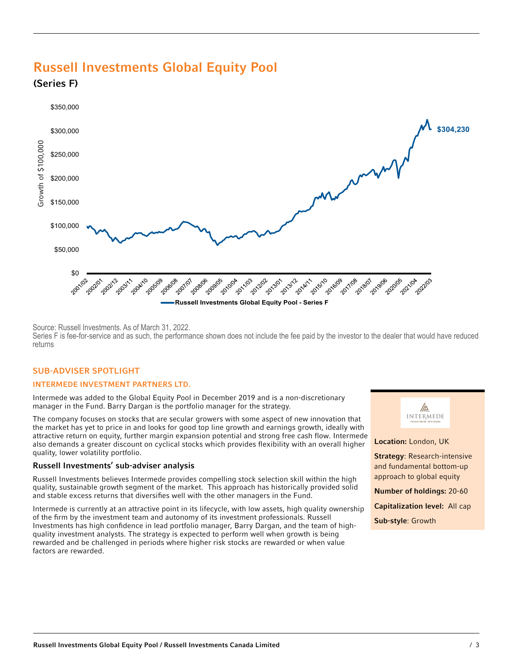# Russell Investments Global Equity Pool

(Series F)



Source: Russell Investments. As of March 31, 2022.

Series F is fee-for-service and as such, the performance shown does not include the fee paid by the investor to the dealer that would have reduced returns

#### SUB-ADVISER SPOTLIGHT

#### INTERMEDE INVESTMENT PARTNERS LTD.

Intermede was added to the Global Equity Pool in December 2019 and is a non-discretionary manager in the Fund. Barry Dargan is the portfolio manager for the strategy.

The company focuses on stocks that are secular growers with some aspect of new innovation that the market has yet to price in and looks for good top line growth and earnings growth, ideally with attractive return on equity, further margin expansion potential and strong free cash flow. Intermede also demands a greater discount on cyclical stocks which provides flexibility with an overall higher quality, lower volatility portfolio.

#### Russell Investments' sub-adviser analysis

Russell Investments believes Intermede provides compelling stock selection skill within the high quality, sustainable growth segment of the market. This approach has historically provided solid and stable excess returns that diversifies well with the other managers in the Fund.

Intermede is currently at an attractive point in its lifecycle, with low assets, high quality ownership of the firm by the investment team and autonomy of its investment professionals. Russell Investments has high confidence in lead portfolio manager, Barry Dargan, and the team of highquality investment analysts. The strategy is expected to perform well when growth is being rewarded and be challenged in periods where higher risk stocks are rewarded or when value factors are rewarded.



#### Location: London, UK

**Strategy: Research-intensive** and fundamental bottom-up approach to global equity

Number of holdings: 20-60

Capitalization level: All cap

Sub-style: Growth